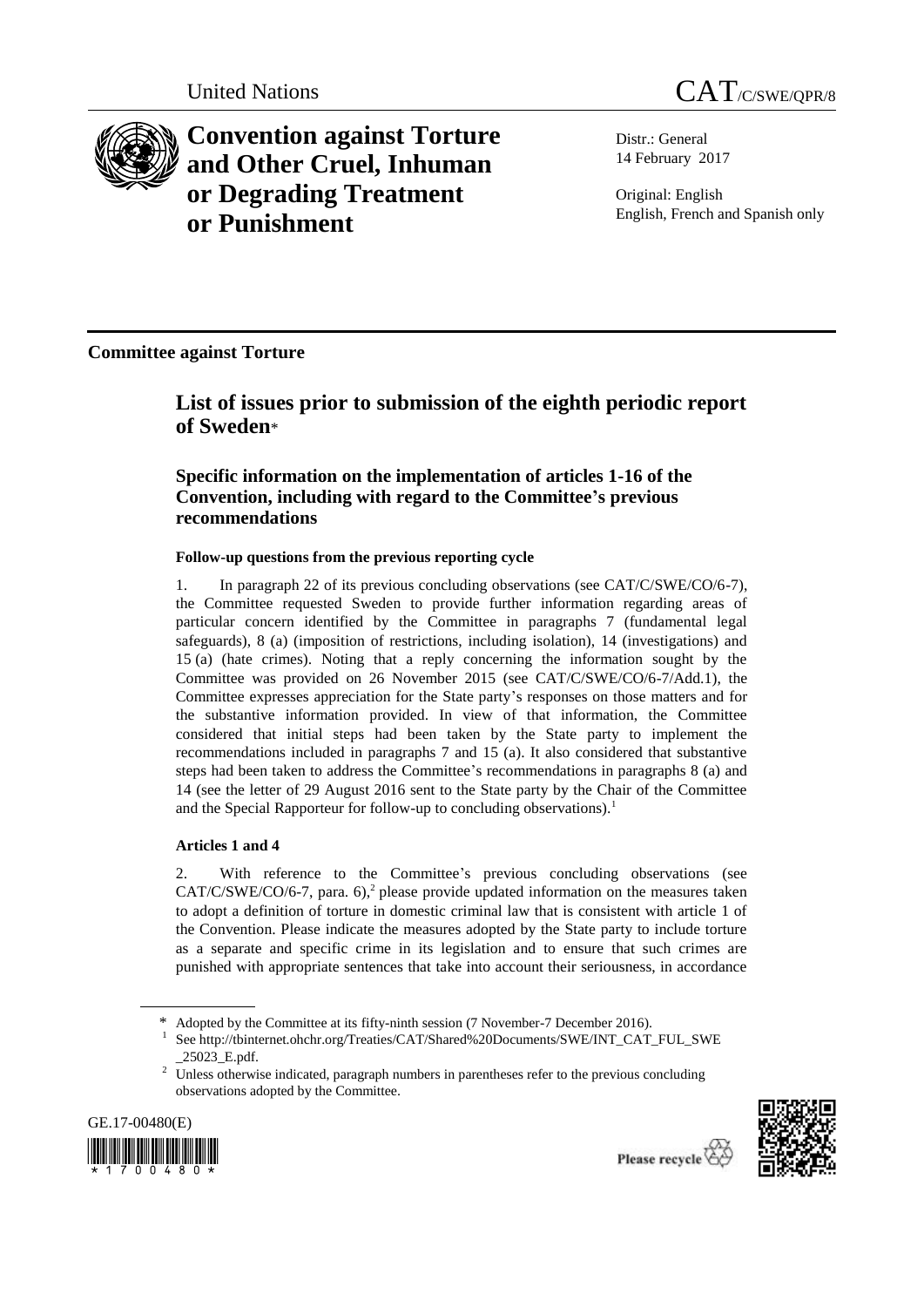



**Convention against Torture and Other Cruel, Inhuman or Degrading Treatment or Punishment**

Distr.: General 14 February 2017

Original: English English, French and Spanish only

**Committee against Torture**

**List of issues prior to submission of the eighth periodic report of Sweden**\*

# **Specific information on the implementation of articles 1-16 of the Convention, including with regard to the Committee's previous recommendations**

## **Follow-up questions from the previous reporting cycle**

1. In paragraph 22 of its previous concluding observations (see CAT/C/SWE/CO/6-7), the Committee requested Sweden to provide further information regarding areas of particular concern identified by the Committee in paragraphs 7 (fundamental legal safeguards), 8 (a) (imposition of restrictions, including isolation), 14 (investigations) and 15 (a) (hate crimes). Noting that a reply concerning the information sought by the Committee was provided on 26 November 2015 (see CAT/C/SWE/CO/6-7/Add.1), the Committee expresses appreciation for the State party's responses on those matters and for the substantive information provided. In view of that information, the Committee considered that initial steps had been taken by the State party to implement the recommendations included in paragraphs 7 and 15 (a). It also considered that substantive steps had been taken to address the Committee's recommendations in paragraphs 8 (a) and 14 (see the letter of 29 August 2016 sent to the State party by the Chair of the Committee and the Special Rapporteur for follow-up to concluding observations).<sup>1</sup>

## **Articles 1 and 4**

2. With reference to the Committee's previous concluding observations (see  $CAT/C/SWE/CO/6-7$ , para. 6),<sup>2</sup> please provide updated information on the measures taken to adopt a definition of torture in domestic criminal law that is consistent with article 1 of the Convention. Please indicate the measures adopted by the State party to include torture as a separate and specific crime in its legislation and to ensure that such crimes are punished with appropriate sentences that take into account their seriousness, in accordance

<sup>&</sup>lt;sup>2</sup> Unless otherwise indicated, paragraph numbers in parentheses refer to the previous concluding observations adopted by the Committee.





<sup>\*</sup> Adopted by the Committee at its fifty-ninth session (7 November-7 December 2016).

<sup>1</sup> See http://tbinternet.ohchr.org/Treaties/CAT/Shared%20Documents/SWE/INT\_CAT\_FUL\_SWE \_25023\_E.pdf.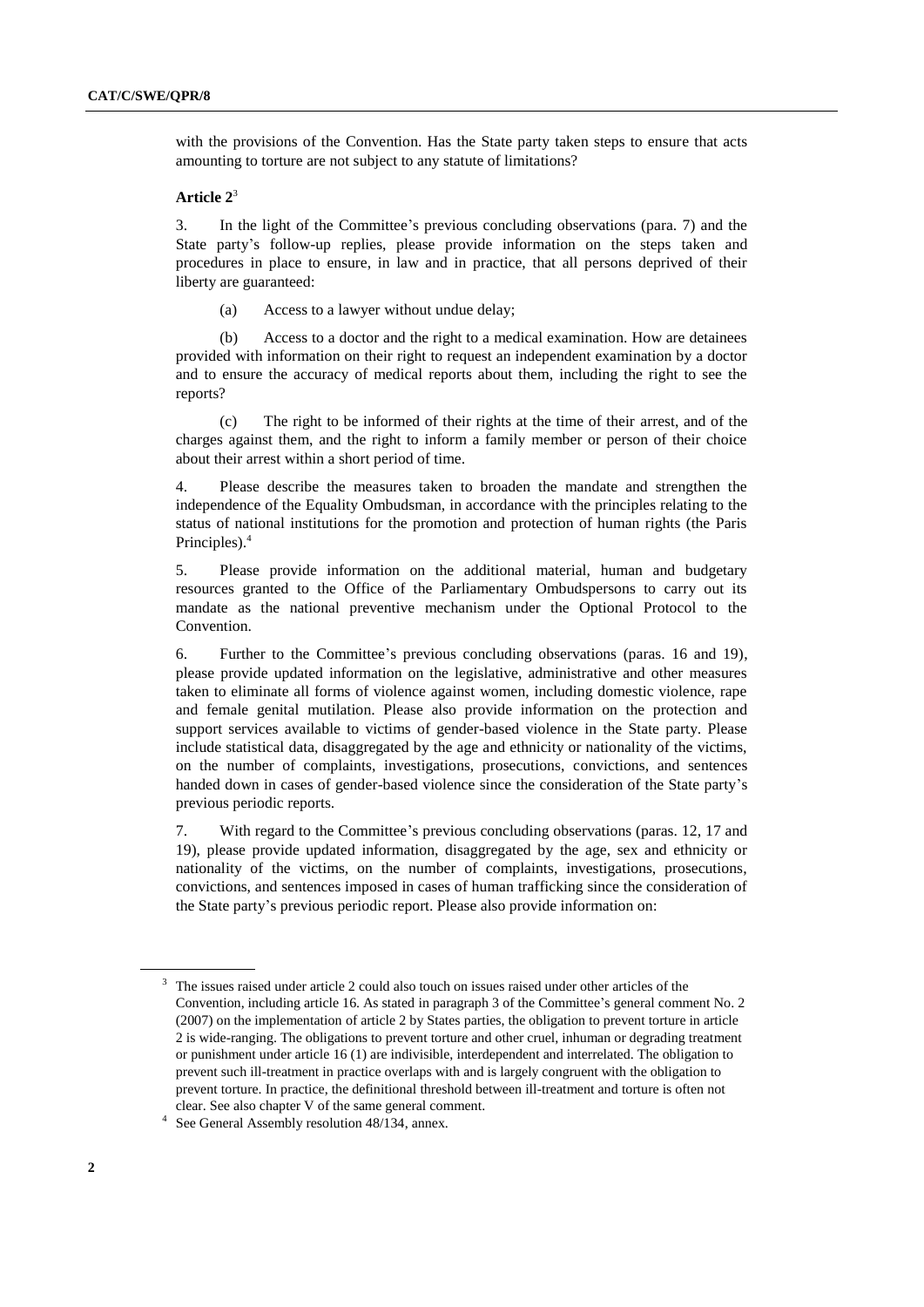with the provisions of the Convention. Has the State party taken steps to ensure that acts amounting to torture are not subject to any statute of limitations?

## **Article 2**<sup>3</sup>

3. In the light of the Committee's previous concluding observations (para. 7) and the State party's follow-up replies, please provide information on the steps taken and procedures in place to ensure, in law and in practice, that all persons deprived of their liberty are guaranteed:

(a) Access to a lawyer without undue delay;

(b) Access to a doctor and the right to a medical examination. How are detainees provided with information on their right to request an independent examination by a doctor and to ensure the accuracy of medical reports about them, including the right to see the reports?

(c) The right to be informed of their rights at the time of their arrest, and of the charges against them, and the right to inform a family member or person of their choice about their arrest within a short period of time.

4. Please describe the measures taken to broaden the mandate and strengthen the independence of the Equality Ombudsman, in accordance with the principles relating to the status of national institutions for the promotion and protection of human rights (the Paris Principles).<sup>4</sup>

5. Please provide information on the additional material, human and budgetary resources granted to the Office of the Parliamentary Ombudspersons to carry out its mandate as the national preventive mechanism under the Optional Protocol to the Convention.

6. Further to the Committee's previous concluding observations (paras. 16 and 19), please provide updated information on the legislative, administrative and other measures taken to eliminate all forms of violence against women, including domestic violence, rape and female genital mutilation. Please also provide information on the protection and support services available to victims of gender-based violence in the State party. Please include statistical data, disaggregated by the age and ethnicity or nationality of the victims, on the number of complaints, investigations, prosecutions, convictions, and sentences handed down in cases of gender-based violence since the consideration of the State party's previous periodic reports.

7. With regard to the Committee's previous concluding observations (paras. 12, 17 and 19), please provide updated information, disaggregated by the age, sex and ethnicity or nationality of the victims, on the number of complaints, investigations, prosecutions, convictions, and sentences imposed in cases of human trafficking since the consideration of the State party's previous periodic report. Please also provide information on:

<sup>3</sup> The issues raised under article 2 could also touch on issues raised under other articles of the Convention, including article 16. As stated in paragraph 3 of the Committee's general comment No. 2 (2007) on the implementation of article 2 by States parties, the obligation to prevent torture in article 2 is wide-ranging. The obligations to prevent torture and other cruel, inhuman or degrading treatment or punishment under article 16 (1) are indivisible, interdependent and interrelated. The obligation to prevent such ill-treatment in practice overlaps with and is largely congruent with the obligation to prevent torture. In practice, the definitional threshold between ill-treatment and torture is often not clear. See also chapter V of the same general comment.

<sup>4</sup> See General Assembly resolution 48/134, annex.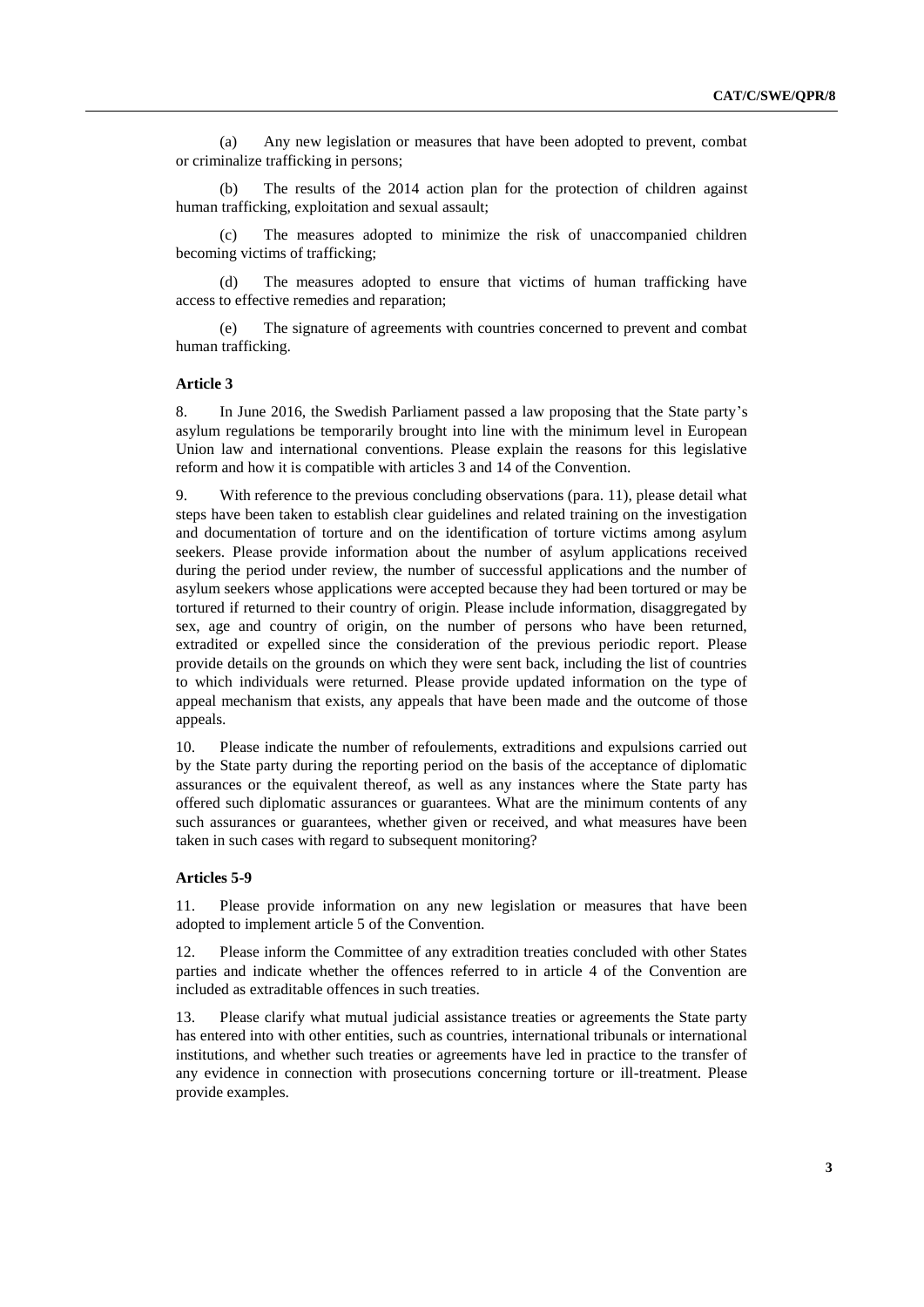(a) Any new legislation or measures that have been adopted to prevent, combat or criminalize trafficking in persons;

(b) The results of the 2014 action plan for the protection of children against human trafficking, exploitation and sexual assault;

The measures adopted to minimize the risk of unaccompanied children becoming victims of trafficking;

(d) The measures adopted to ensure that victims of human trafficking have access to effective remedies and reparation;

The signature of agreements with countries concerned to prevent and combat human trafficking.

## **Article 3**

8. In June 2016, the Swedish Parliament passed a law proposing that the State party's asylum regulations be temporarily brought into line with the minimum level in European Union law and international conventions. Please explain the reasons for this legislative reform and how it is compatible with articles 3 and 14 of the Convention.

9. With reference to the previous concluding observations (para. 11), please detail what steps have been taken to establish clear guidelines and related training on the investigation and documentation of torture and on the identification of torture victims among asylum seekers. Please provide information about the number of asylum applications received during the period under review, the number of successful applications and the number of asylum seekers whose applications were accepted because they had been tortured or may be tortured if returned to their country of origin. Please include information, disaggregated by sex, age and country of origin, on the number of persons who have been returned, extradited or expelled since the consideration of the previous periodic report. Please provide details on the grounds on which they were sent back, including the list of countries to which individuals were returned. Please provide updated information on the type of appeal mechanism that exists, any appeals that have been made and the outcome of those appeals.

10. Please indicate the number of refoulements, extraditions and expulsions carried out by the State party during the reporting period on the basis of the acceptance of diplomatic assurances or the equivalent thereof, as well as any instances where the State party has offered such diplomatic assurances or guarantees. What are the minimum contents of any such assurances or guarantees, whether given or received, and what measures have been taken in such cases with regard to subsequent monitoring?

#### **Articles 5-9**

11. Please provide information on any new legislation or measures that have been adopted to implement article 5 of the Convention.

12. Please inform the Committee of any extradition treaties concluded with other States parties and indicate whether the offences referred to in article 4 of the Convention are included as extraditable offences in such treaties.

13. Please clarify what mutual judicial assistance treaties or agreements the State party has entered into with other entities, such as countries, international tribunals or international institutions, and whether such treaties or agreements have led in practice to the transfer of any evidence in connection with prosecutions concerning torture or ill-treatment. Please provide examples.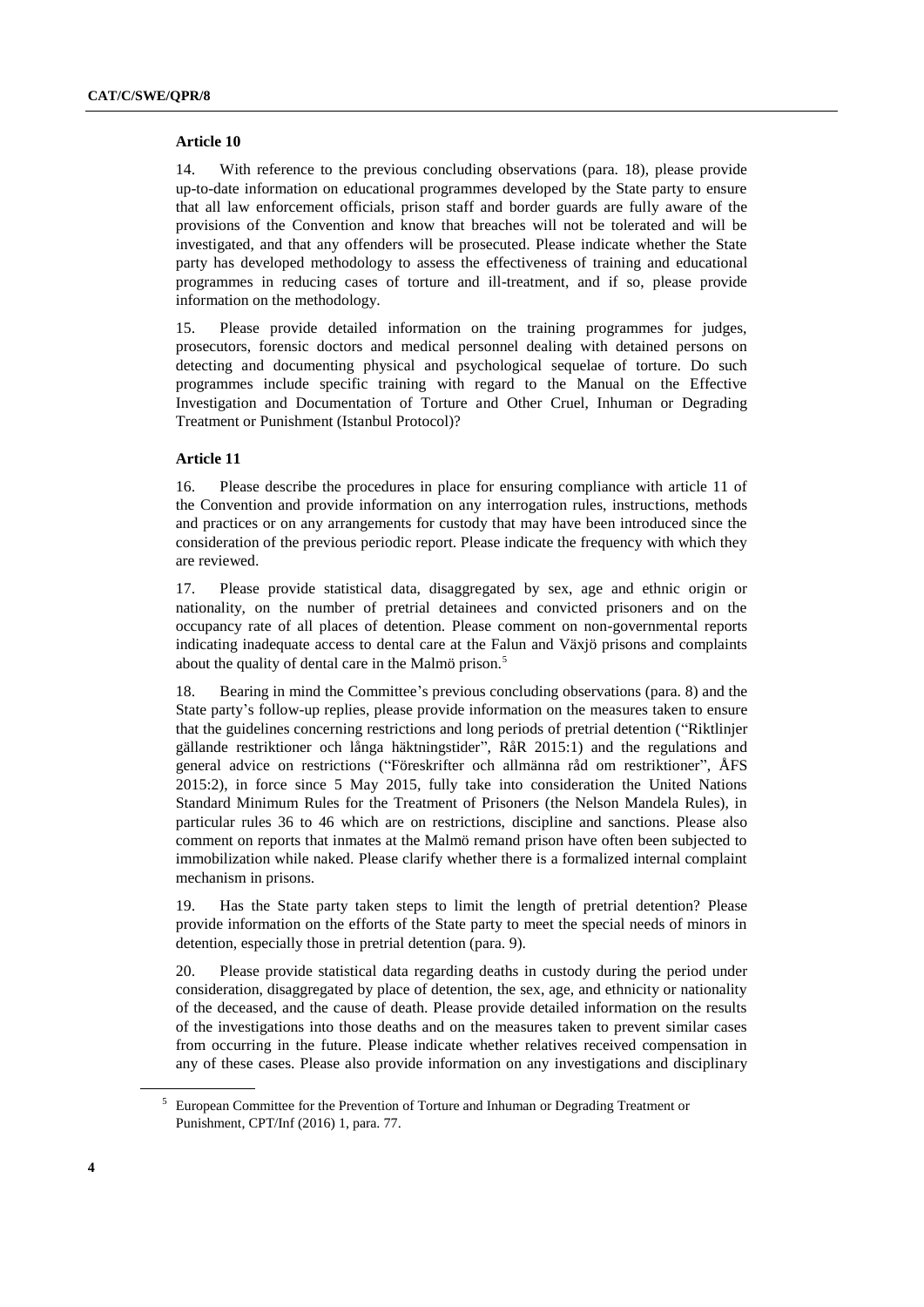#### **Article 10**

14. With reference to the previous concluding observations (para. 18), please provide up-to-date information on educational programmes developed by the State party to ensure that all law enforcement officials, prison staff and border guards are fully aware of the provisions of the Convention and know that breaches will not be tolerated and will be investigated, and that any offenders will be prosecuted. Please indicate whether the State party has developed methodology to assess the effectiveness of training and educational programmes in reducing cases of torture and ill-treatment, and if so, please provide information on the methodology.

15. Please provide detailed information on the training programmes for judges, prosecutors, forensic doctors and medical personnel dealing with detained persons on detecting and documenting physical and psychological sequelae of torture. Do such programmes include specific training with regard to the Manual on the Effective Investigation and Documentation of Torture and Other Cruel, Inhuman or Degrading Treatment or Punishment (Istanbul Protocol)?

## **Article 11**

16. Please describe the procedures in place for ensuring compliance with article 11 of the Convention and provide information on any interrogation rules, instructions, methods and practices or on any arrangements for custody that may have been introduced since the consideration of the previous periodic report. Please indicate the frequency with which they are reviewed.

17. Please provide statistical data, disaggregated by sex, age and ethnic origin or nationality, on the number of pretrial detainees and convicted prisoners and on the occupancy rate of all places of detention. Please comment on non-governmental reports indicating inadequate access to dental care at the Falun and Växjö prisons and complaints about the quality of dental care in the Malmö prison.<sup>5</sup>

18. Bearing in mind the Committee's previous concluding observations (para. 8) and the State party's follow-up replies, please provide information on the measures taken to ensure that the guidelines concerning restrictions and long periods of pretrial detention ("Riktlinjer gällande restriktioner och långa häktningstider", RåR 2015:1) and the regulations and general advice on restrictions ("Föreskrifter och allmänna råd om restriktioner", ÅFS 2015:2), in force since 5 May 2015, fully take into consideration the United Nations Standard Minimum Rules for the Treatment of Prisoners (the Nelson Mandela Rules), in particular rules 36 to 46 which are on restrictions, discipline and sanctions. Please also comment on reports that inmates at the Malmö remand prison have often been subjected to immobilization while naked. Please clarify whether there is a formalized internal complaint mechanism in prisons.

19. Has the State party taken steps to limit the length of pretrial detention? Please provide information on the efforts of the State party to meet the special needs of minors in detention, especially those in pretrial detention (para. 9).

20. Please provide statistical data regarding deaths in custody during the period under consideration, disaggregated by place of detention, the sex, age, and ethnicity or nationality of the deceased, and the cause of death. Please provide detailed information on the results of the investigations into those deaths and on the measures taken to prevent similar cases from occurring in the future. Please indicate whether relatives received compensation in any of these cases. Please also provide information on any investigations and disciplinary

<sup>5</sup> European Committee for the Prevention of Torture and Inhuman or Degrading Treatment or Punishment, CPT/Inf (2016) 1, para. 77.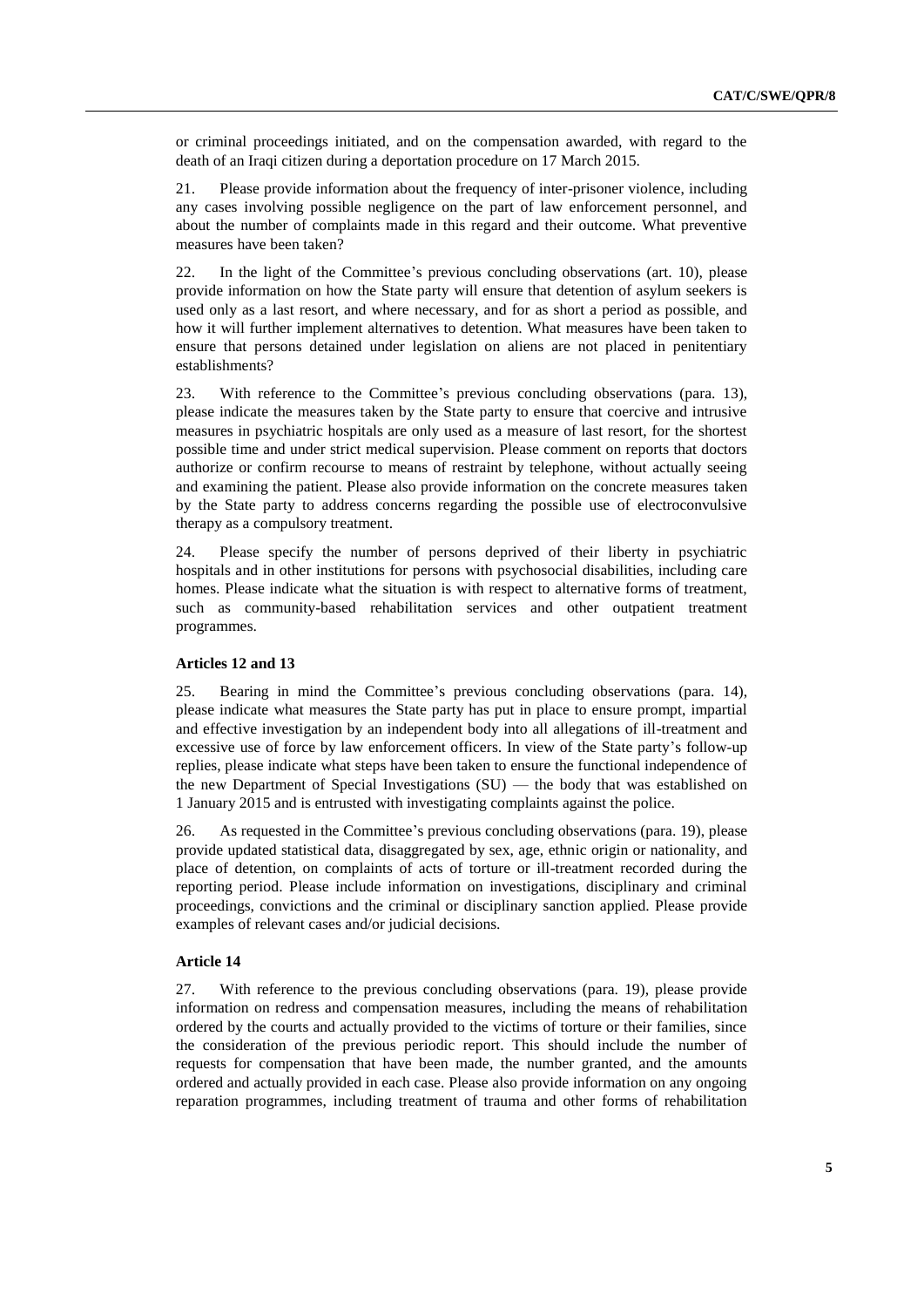or criminal proceedings initiated, and on the compensation awarded, with regard to the death of an Iraqi citizen during a deportation procedure on 17 March 2015.

21. Please provide information about the frequency of inter-prisoner violence, including any cases involving possible negligence on the part of law enforcement personnel, and about the number of complaints made in this regard and their outcome. What preventive measures have been taken?

22. In the light of the Committee's previous concluding observations (art. 10), please provide information on how the State party will ensure that detention of asylum seekers is used only as a last resort, and where necessary, and for as short a period as possible, and how it will further implement alternatives to detention. What measures have been taken to ensure that persons detained under legislation on aliens are not placed in penitentiary establishments?

23. With reference to the Committee's previous concluding observations (para. 13), please indicate the measures taken by the State party to ensure that coercive and intrusive measures in psychiatric hospitals are only used as a measure of last resort, for the shortest possible time and under strict medical supervision. Please comment on reports that doctors authorize or confirm recourse to means of restraint by telephone, without actually seeing and examining the patient. Please also provide information on the concrete measures taken by the State party to address concerns regarding the possible use of electroconvulsive therapy as a compulsory treatment.

24. Please specify the number of persons deprived of their liberty in psychiatric hospitals and in other institutions for persons with psychosocial disabilities, including care homes. Please indicate what the situation is with respect to alternative forms of treatment, such as community-based rehabilitation services and other outpatient treatment programmes.

### **Articles 12 and 13**

25. Bearing in mind the Committee's previous concluding observations (para. 14), please indicate what measures the State party has put in place to ensure prompt, impartial and effective investigation by an independent body into all allegations of ill-treatment and excessive use of force by law enforcement officers. In view of the State party's follow-up replies, please indicate what steps have been taken to ensure the functional independence of the new Department of Special Investigations (SU) — the body that was established on 1 January 2015 and is entrusted with investigating complaints against the police.

26. As requested in the Committee's previous concluding observations (para. 19), please provide updated statistical data, disaggregated by sex, age, ethnic origin or nationality, and place of detention, on complaints of acts of torture or ill-treatment recorded during the reporting period. Please include information on investigations, disciplinary and criminal proceedings, convictions and the criminal or disciplinary sanction applied. Please provide examples of relevant cases and/or judicial decisions.

### **Article 14**

27. With reference to the previous concluding observations (para. 19), please provide information on redress and compensation measures, including the means of rehabilitation ordered by the courts and actually provided to the victims of torture or their families, since the consideration of the previous periodic report. This should include the number of requests for compensation that have been made, the number granted, and the amounts ordered and actually provided in each case. Please also provide information on any ongoing reparation programmes, including treatment of trauma and other forms of rehabilitation